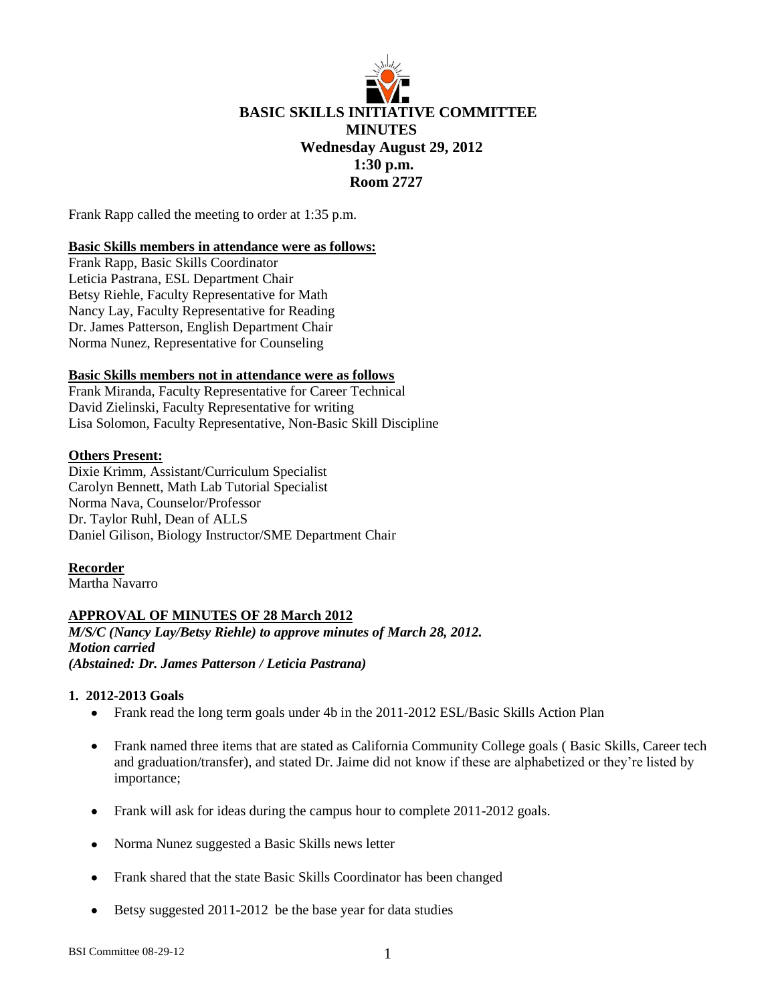

Frank Rapp called the meeting to order at 1:35 p.m.

### **Basic Skills members in attendance were as follows:**

Frank Rapp, Basic Skills Coordinator Leticia Pastrana, ESL Department Chair Betsy Riehle, Faculty Representative for Math Nancy Lay, Faculty Representative for Reading Dr. James Patterson, English Department Chair Norma Nunez, Representative for Counseling

### **Basic Skills members not in attendance were as follows**

Frank Miranda, Faculty Representative for Career Technical David Zielinski, Faculty Representative for writing Lisa Solomon, Faculty Representative, Non-Basic Skill Discipline

#### **Others Present:**

Dixie Krimm, Assistant/Curriculum Specialist Carolyn Bennett, Math Lab Tutorial Specialist Norma Nava, Counselor/Professor Dr. Taylor Ruhl, Dean of ALLS Daniel Gilison, Biology Instructor/SME Department Chair

# **Recorder**

Martha Navarro

# **APPROVAL OF MINUTES OF 28 March 2012**

*M/S/C (Nancy Lay/Betsy Riehle) to approve minutes of March 28, 2012. Motion carried (Abstained: Dr. James Patterson / Leticia Pastrana)*

#### **1. 2012-2013 Goals**

- Frank read the long term goals under 4b in the 2011-2012 ESL/Basic Skills Action Plan
- Frank named three items that are stated as California Community College goals ( Basic Skills, Career tech and graduation/transfer), and stated Dr. Jaime did not know if these are alphabetized or they're listed by importance;
- Frank will ask for ideas during the campus hour to complete 2011-2012 goals.  $\bullet$
- Norma Nunez suggested a Basic Skills news letter
- Frank shared that the state Basic Skills Coordinator has been changed
- Betsy suggested 2011-2012 be the base year for data studies